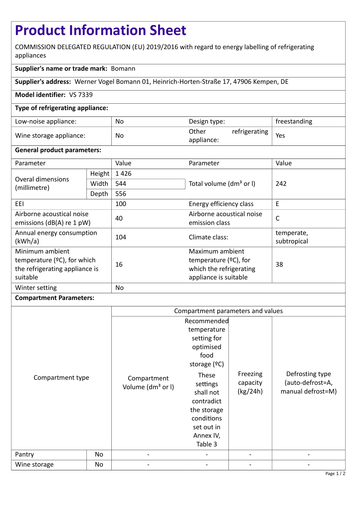# **Product Information Sheet**

COMMISSION DELEGATED REGULATION (EU) 2019/2016 with regard to energy labelling of refrigerating appliances

# **Supplier's name or trade mark:** Bomann

**Supplier's address:** Werner Vogel Bomann 01, Heinrich-Horten-Straße 17, 47906 Kempen, DE

## **Model identifier:** VS 7339

## **Type of refrigerating appliance:**

| Low-noise appliance:    | No | Design type:                         | freestanding |
|-------------------------|----|--------------------------------------|--------------|
| Wine storage appliance: | No | refrigerating<br>Other<br>appliance: | Yes          |

#### **General product parameters:**

| Parameter                                                                                       |        | Value     | Parameter                                                                                       | Value                     |  |
|-------------------------------------------------------------------------------------------------|--------|-----------|-------------------------------------------------------------------------------------------------|---------------------------|--|
| Overal dimensions<br>(millimetre)                                                               | Height | 1426      |                                                                                                 | 242                       |  |
|                                                                                                 | Width  | 544       | Total volume (dm <sup>3</sup> or I)                                                             |                           |  |
|                                                                                                 | Depth  | 556       |                                                                                                 |                           |  |
| EEI                                                                                             |        | 100       | Energy efficiency class                                                                         | E                         |  |
| Airborne acoustical noise<br>emissions ( $dB(A)$ re 1 pW)                                       |        | 40        | Airborne acoustical noise<br>emission class                                                     | $\mathsf{C}$              |  |
| Annual energy consumption<br>(kWh/a)                                                            |        | 104       | Climate class:                                                                                  | temperate,<br>subtropical |  |
| Minimum ambient<br>temperature $(2C)$ , for which<br>the refrigerating appliance is<br>suitable |        | 16        | Maximum ambient<br>temperature $(2C)$ , for<br>which the refrigerating<br>appliance is suitable | 38                        |  |
| Winter setting                                                                                  |        | <b>No</b> |                                                                                                 |                           |  |

#### **Compartment Parameters:**

|                            |    | Compartment parameters and values                                        |                                                                                                                                                                                                     |                                  |                                                          |
|----------------------------|----|--------------------------------------------------------------------------|-----------------------------------------------------------------------------------------------------------------------------------------------------------------------------------------------------|----------------------------------|----------------------------------------------------------|
| Compartment type<br>Pantry | No | Compartment<br>Volume (dm <sup>3</sup> or I)<br>$\overline{\phantom{a}}$ | Recommended<br>temperature<br>setting for<br>optimised<br>food<br>storage $(°C)$<br>These<br>settings<br>shall not<br>contradict<br>the storage<br>conditions<br>set out in<br>Annex IV,<br>Table 3 | Freezing<br>capacity<br>(kg/24h) | Defrosting type<br>(auto-defrost=A,<br>manual defrost=M) |
| Wine storage               | No |                                                                          |                                                                                                                                                                                                     |                                  |                                                          |
|                            |    |                                                                          |                                                                                                                                                                                                     |                                  |                                                          |